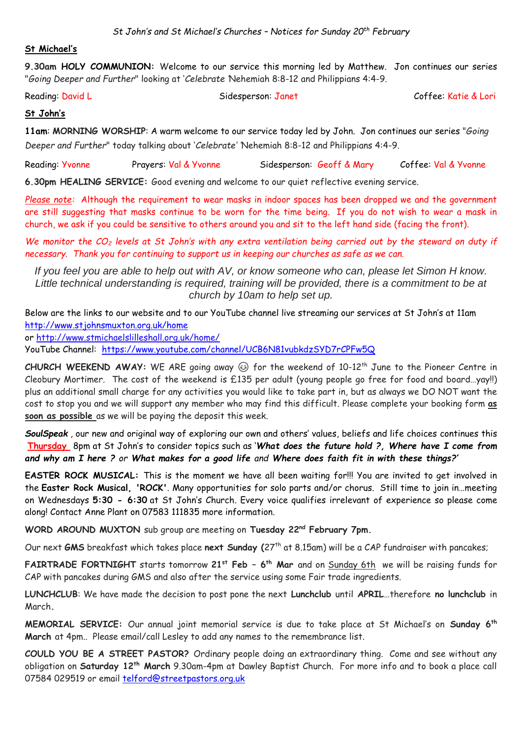### **St Michael's**

**9.30am HOLY COMMUNION:** Welcome to our service this morning led by Matthew. Jon continues our series "*Going Deeper and Further*" looking at '*Celebrate '*Nehemiah 8:8-12 and Philippians 4:4-9.

Reading: David L Sidesperson: Janet Coffee: Katie & Lori

## **St John's**

**11am**: **MORNING WORSHIP**: A warm welcome to our service today led by John. Jon continues our series "*Going Deeper and Further*" today talking about '*Celebrate' '*Nehemiah 8:8-12 and Philippians 4:4-9.

Reading: Yvonne Prayers: Val & Yvonne Sidesperson: Geoff & Mary Coffee: Val & Yvonne

**6.30pm HEALING SERVICE:** Good evening and welcome to our quiet reflective evening service.

*Please note:* Although the requirement to wear masks in indoor spaces has been dropped we and the government are still suggesting that masks continue to be worn for the time being. If you do not wish to wear a mask in church, we ask if you could be sensitive to others around you and sit to the left hand side (facing the front).

*We monitor the CO<sup>2</sup> levels at St John's with any extra ventilation being carried out by the steward on duty if necessary. Thank you for continuing to support us in keeping our churches as safe as we can.* 

*If you feel you are able to help out with AV, or know someone who can, please let Simon H know. Little technical understanding is required, training will be provided, there is a commitment to be at church by 10am to help set up.*

Below are the links to our website and to our YouTube channel live streaming our services at St John's at 11am <http://www.stjohnsmuxton.org.uk/home>

or<http://www.stmichaelslilleshall.org.uk/home/>

YouTube Channel: <https://www.youtube.com/channel/UCB6N81vubkdzSYD7rCPFw5Q>

CHURCH WEEKEND AWAY: WE ARE going away  $\circledcirc$  for the weekend of 10-12<sup>th</sup> June to the Pioneer Centre in Cleobury Mortimer. The cost of the weekend is £135 per adult (young people go free for food and board…yay!!) plus an additional small charge for any activities you would like to take part in, but as always we DO NOT want the cost to stop you and we will support any member who may find this difficult. Please complete your booking form **as soon as possible** as we will be paying the deposit this week.

*SoulSpeak* , our new and original way of exploring our own and others' values, beliefs and life choices continues this **Thursday** 8pm at St John's to consider topics such as '*What does the future hold ?, Where have I come from and why am I here ? or What makes for a good life and Where does faith fit in with these things?'*

**EASTER ROCK MUSICAL:** This is the moment we have all been waiting for!!! You are invited to get involved in the **Easter Rock Musical, 'ROCK'**. Many opportunities for solo parts and/or chorus. Still time to join in…meeting on Wednesdays **5:30 - 6:30** at St John's Church. Every voice qualifies irrelevant of experience so please come along! Contact Anne Plant on 07583 111835 more information.

**WORD AROUND MUXTON** sub group are meeting on **Tuesday 22nd February 7pm.**

Our next **GMS** breakfast which takes place **next Sunday (**27th at 8.15am) will be a CAP fundraiser with pancakes;

**FAIRTRADE FORTNIGHT** starts tomorrow **21st Feb – 6 th Mar** and on Sunday 6th we will be raising funds for CAP with pancakes during GMS and also after the service using some Fair trade ingredients.

**LUNCHCLUB**: We have made the decision to post pone the next **Lunchclub** until **APRIL**…therefore **no lunchclub** in March**.**

**MEMORIAL SERVICE:** Our annual joint memorial service is due to take place at St Michael's on **Sunday 6th March** at 4pm.. Please email/call Lesley to add any names to the remembrance list.

**COULD YOU BE A STREET PASTOR?** Ordinary people doing an extraordinary thing. Come and see without any obligation on **Saturday 12th March** 9.30am-4pm at Dawley Baptist Church. For more info and to book a place call 07584 029519 or email [telford@streetpastors.org.uk](mailto:telford@streetpastors.org.uk)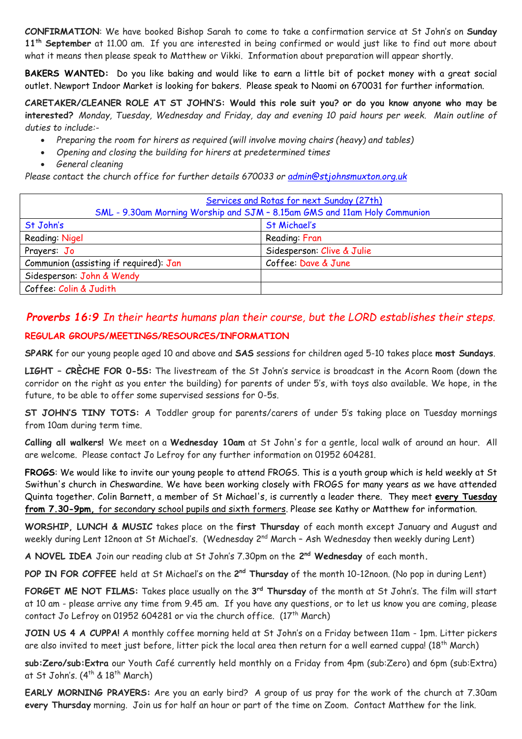**CONFIRMATION**: We have booked Bishop Sarah to come to take a confirmation service at St John's on **Sunday 11th September** at 11.00 am. If you are interested in being confirmed or would just like to find out more about what it means then please speak to Matthew or Vikki. Information about preparation will appear shortly.

**BAKERS WANTED:** Do you like baking and would like to earn a little bit of pocket money with a great social outlet. Newport Indoor Market is looking for bakers. Please speak to Naomi on 670031 for further information.

**CARETAKER/CLEANER ROLE AT ST JOHN'S: Would this role suit you? or do you know anyone who may be interested?** *Monday, Tuesday, Wednesday and Friday, day and evening 10 paid hours per week. Main outline of duties to include:-*

- *Preparing the room for hirers as required (will involve moving chairs (heavy) and tables)*
- *Opening and closing the building for hirers at predetermined times*
- *General cleaning*

*Please contact the church office for further details 670033 or [admin@stjohnsmuxton.org.uk](mailto:admin@stjohnsmuxton.org.uk)*

| Services and Rotas for next Sunday (27th)                                 |                            |
|---------------------------------------------------------------------------|----------------------------|
| SML - 9.30am Morning Worship and SJM - 8.15am GMS and 11am Holy Communion |                            |
| St John's                                                                 | <b>St Michael's</b>        |
| Reading: Nigel                                                            | Reading: Fran              |
| Prayers: Jo                                                               | Sidesperson: Clive & Julie |
| Communion (assisting if required): Jan                                    | Coffee: Dave & June        |
| Sidesperson: John & Wendy                                                 |                            |
| Coffee: Colin & Judith                                                    |                            |

# *Proverbs 16:9 In their hearts humans plan their course, but the LORD establishes their steps.*

# **REGULAR GROUPS/MEETINGS/RESOURCES/INFORMATION**

**SPARK** for our young people aged 10 and above and **SAS** sessions for children aged 5-10 takes place **most Sundays**.

**LIGHT – CRÈCHE FOR 0-5S:** The livestream of the St John's service is broadcast in the Acorn Room (down the corridor on the right as you enter the building) for parents of under 5's, with toys also available. We hope, in the future, to be able to offer some supervised sessions for 0-5s.

**ST JOHN'S TINY TOTS:** A Toddler group for parents/carers of under 5's taking place on Tuesday mornings from 10am during term time.

**Calling all walkers!** We meet on a **Wednesday 10am** at St John's for a gentle, local walk of around an hour. All are welcome. Please contact Jo Lefroy for any further information on 01952 604281.

**FROGS**: We would like to invite our young people to attend FROGS. This is a youth group which is held weekly at St Swithun's church in Cheswardine. We have been working closely with FROGS for many years as we have attended Quinta together. Colin Barnett, a member of St Michael's, is currently a leader there. They meet **every Tuesday from 7.30-9pm,** for secondary school pupils and sixth formers. Please see Kathy or Matthew for information.

**WORSHIP, LUNCH & MUSIC** takes place on the **first Thursday** of each month except January and August and weekly during Lent 12noon at St Michael's. (Wednesday 2<sup>nd</sup> March - Ash Wednesday then weekly during Lent)

**A NOVEL IDEA** Join our reading club at St John's 7.30pm on the **2 nd Wednesday** of each month**.**

POP IN FOR COFFEE held at St Michael's on the 2<sup>nd</sup> Thursday of the month 10-12noon. (No pop in during Lent)

**FORGET ME NOT FILMS:** Takes place usually on the **3 rd Thursday** of the month at St John's. The film will start at 10 am - please arrive any time from 9.45 am. If you have any questions, or to let us know you are coming, please contact Jo Lefroy on 01952 604281 or via the church office. (17<sup>th</sup> March)

**JOIN US 4 A CUPPA!** A monthly coffee morning held at St John's on a Friday between 11am - 1pm. Litter pickers are also invited to meet just before, litter pick the local area then return for a well earned cuppa! (18<sup>th</sup> March)

**sub:Zero/sub:Extra** our Youth Café currently held monthly on a Friday from 4pm (sub:Zero) and 6pm (sub:Extra) at St John's.  $(4^{th}$  &  $18^{th}$  March)

**EARLY MORNING PRAYERS:** Are you an early bird? A group of us pray for the work of the church at 7.30am **every Thursday** morning. Join us for half an hour or part of the time on Zoom. Contact Matthew for the link.